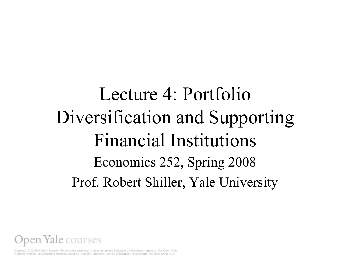## Lecture 4: Portfolio Diversification and Supporting Financial Institutions Economics 252, Spring 2008 Prof. Robert Shiller, Yale University



Copyright @ 2008 Yale University. Some rights reserved. Unless otherwise indicated on this document or on the Open Yale Courses website, all content is licensed under a Creative Commons License (Attribution-NonCommercial-ShareAlike 3.0).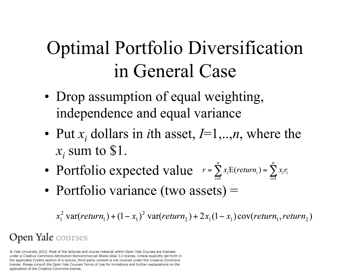# Optimal Portfolio Diversification in General Case

- Drop assumption of equal weighting, independence and equal variance
- Put  $x_i$  dollars in *i*th asset,  $I=1,..,n$ , where the  $x_i$  sum to \$1.
- Portfolio expected value  $r = \sum_{i=1}^{n} x_i E(return_i) = \sum_{i=1}^{n} x_i r_i$
- Portfolio variance (two assets) =

 $x_1^2$  var(return<sub>1</sub>) +  $(1-x_1)^2$  var(return<sub>2</sub>) +  $2x_1(1-x_1)$  cov(return<sub>1</sub>, return<sub>2</sub>)

### Open Yale courses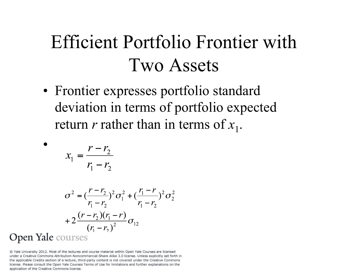## Efficient Portfolio Frontier with Two Assets

• Frontier expresses portfolio standard deviation in terms of portfolio expected return *r* rather than in terms of  $x_1$ .

$$
x_1 = \frac{r - r_2}{r_1 - r_2}
$$

•

$$
\sigma^{2} = \left(\frac{r - r_{2}}{r_{1} - r_{2}}\right)^{2} \sigma_{1}^{2} + \left(\frac{r_{1} - r_{2}}{r_{1} - r_{2}}\right)^{2} \sigma_{2}^{2}
$$

$$
+ 2 \frac{(r - r_{2})(r_{1} - r)}{(r_{1} - r_{2})^{2}} \sigma_{12}
$$
Open Yale courses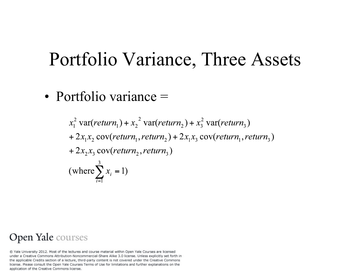### Portfolio Variance, Three Assets

• Portfolio variance =

 $x_1^2$  var(return,) +  $x_2^2$  var(return,) +  $x_3^2$  var(return,) +  $2x_1x_2$  cov(return, return<sub>2</sub>) +  $2x_1x_3$  cov(return, return<sub>3</sub>) +  $2x_2x_3$  cov(return, return,) (where  $\sum x_i = 1$ )

#### Open Yale courses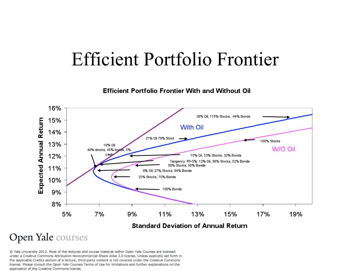### Efficient Portfolio Frontier



**Efficient Portfolio Frontier With and Without Oil** 

#### Open Yale courses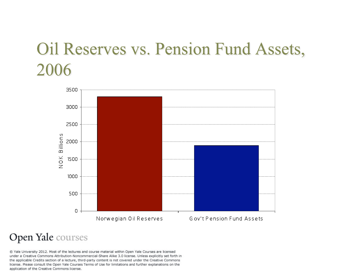### Oil Reserves vs. Pension Fund Assets, 2006



#### Open Yale courses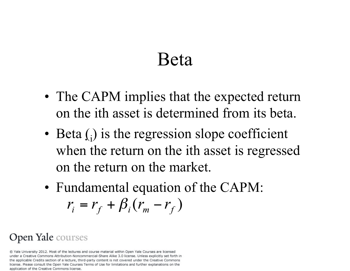### Beta

- The CAPM implies that the expected return on the ith asset is determined from its beta.
- Beta  $(j)$  is the regression slope coefficient when the return on the ith asset is regressed on the return on the market.
- Fundamental equation of the CAPM:  $r_i = r_f + \beta_i (r_m - r_f)$

### Open Yale courses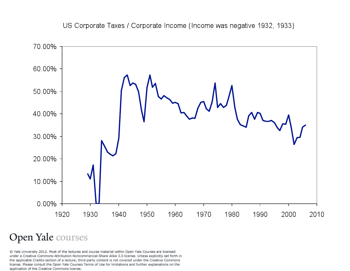US Corporate Taxes / Corporate Income (Income was negative 1932, 1933)



#### Open Yale courses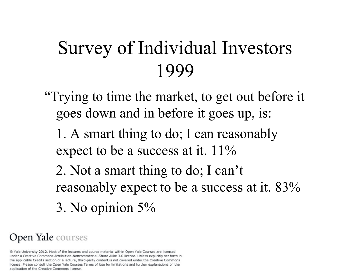## Survey of Individual Investors 1999

- "Trying to time the market, to get out before it goes down and in before it goes up, is:
	- 1. A smart thing to do; I can reasonably expect to be a success at it. 11%
	- 2. Not a smart thing to do; I can't reasonably expect to be a success at it. 83% 3. No opinion 5%

#### Open Yale courses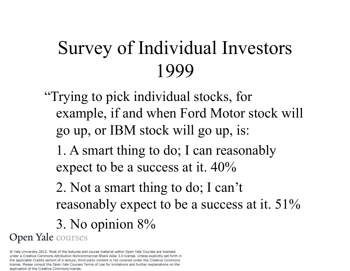# Survey of Individual Investors 1999

"Trying to pick individual stocks, for example, if and when Ford Motor stock will go up, or IBM stock will go up, is:

 1. A smart thing to do; I can reasonably expect to be a success at it. 40%

 2. Not a smart thing to do; I can't reasonably expect to be a success at it. 51%

3. No opinion 8%

Open Yale courses